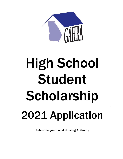

# High School Student Scholarship

## 2021 Application

Submit to your Local Housing Authority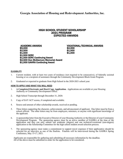### HIGH SCHOOL STUDENT SCHOLARSHIP 2021 PROGRAM EXPECTED AWARDS

ACADEMIC AWARDS<br>
\$5,000 \$2,500 \$2,500 \$2,000<br>
\$1,500 \$1,500 \$1,500 \$1,500 \$1,500<br>
\$1,000 \$1,500 SERC<br>
\$1,000 SERC Continuing Award<br>
\$2,500 Don McGlamory Memorial Award<br>\$1,000 GAHRA Continuing Award

#### **ELIGIBILITY**

- 1. Current resident, with at least two years of residency (not required to be consecutive), of federally assisted housing or as a recipient of assistance through the Community Development Block Grant Program.
- 2. Graduated or expected to graduate from High School in the 2020-2021 school year.

#### HOW TO APPLY AND WHAT YOU WILL NEED

- 1. **A Completed Electronic and Hard Copy Application.** Applications are available at your Housing Authority or Community Development Office.
- 2. High School Transcript through December 31, 2020.
- 3. Copy of SAT/ACT scores, if completed and available.
- 4. Source and amount of other scholarship awards, received or pending.
- 5. Three letters supporting the character, achievements, and advancement of applicant. One letter must be from a school official. The other letters may be from employers, ministers, or anyone with significant knowledge of the applicant.
- 6. A sponsorship letter from the Executive Director of your Housing Authority or the Director of your Community Development Program. The sponsoring agency must be an active member of GAHRA at the time of the application and they can only submit one academic (degree) and one technical/vocational (non-degree) application to the Scholarship Committee for the high school student award selection process.
- 7. The sponsoring agency must make a commitment to support travel expenses if their applicant(s) should be selected for an interview as one of the finalists. Finalists will be interviewed during the GAHRA Spring Conference, May 15-17, 2021.

Applicants are responsible for gathering and submitting all necessary information by the deadline. All of the above must be submitted in order for the application to be considered.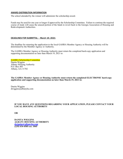#### AWARD DISTRIBUTION INFORMATION

The school attended by the winner will administer the scholarship award.

Funds may be used for one year or longer if approved by the Scholarship Committee. Failure to continue the required course of study will cause the unused portion of the funds to revert back to the Georgia Association of Housing and Redevelopment Authorities.

#### DEADLINES FOR SUBMITTAL – March 19, 2021

The deadline for returning the application to the local GAHRA Member Agency or Housing Authority will be determined by the Member Agency or Authority.

The GAHRA Member Agency or Housing Authority must return the completed hard-copy application and supporting documentation no later than March 19, 2021 to:

#### GAHRA Scholarship Committee Danita Wiggins Albany Housing Authority P.O. Box 485 Albany, GA 31702

**The GAHRA Member Agency or Housing Authority must return the completed ELECTRONIC hard-copy application and supporting documentation no later than March 19, 2021 to:**

Danita Wiggins dwiggins@albanyha.com

#### **IF YOU HAVE ANY QUESTIONS REGARDING YOUR APPLICATION, PLEASE CONTACT YOUR LOCAL HOUSING AUTHORITY**

**OR** 

**DANITA WIGGINS ALBANY HOUSING AUTHORITY [dwiggins@albanyha.com](mailto:dwiggins@albanyha.com) (229) 434-4505 ext. 1045**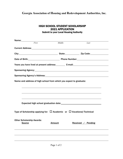| <b>HIGH SCHOOL STUDENT SCHOLARSHIP</b>        |
|-----------------------------------------------|
| <b>2021 APPLICATION</b>                       |
| <b>Submit to your Local Housing Authority</b> |

| Name:                                                                                                                                                                                                                         |       |               |                    |  |
|-------------------------------------------------------------------------------------------------------------------------------------------------------------------------------------------------------------------------------|-------|---------------|--------------------|--|
|                                                                                                                                                                                                                               | First | Middle        | Last               |  |
|                                                                                                                                                                                                                               |       |               |                    |  |
| City: City: City: City: City: City: City: City: Code: City: Code: City: Code: City: Code: City: Code: City: City: City: City: City: City: City: City: City: City: City: City: City: City: City: City: City: City: City: City: |       |               |                    |  |
| Date of Birth: No. 2010 Contract Contract Phone Number: National Phone Number:                                                                                                                                                |       |               |                    |  |
| Years you have lived at present address: E-mail: E-mail:                                                                                                                                                                      |       |               |                    |  |
|                                                                                                                                                                                                                               |       |               |                    |  |
|                                                                                                                                                                                                                               |       |               |                    |  |
| Name and address of high school from which you expect to graduate:                                                                                                                                                            |       |               |                    |  |
|                                                                                                                                                                                                                               |       |               |                    |  |
|                                                                                                                                                                                                                               |       |               |                    |  |
|                                                                                                                                                                                                                               |       |               |                    |  |
|                                                                                                                                                                                                                               |       |               |                    |  |
| Type of Scholarship applying for: $\Box$ Academic or $\Box$ Vocational/Technical                                                                                                                                              |       |               |                    |  |
| <b>Other Scholarship Awards:</b><br><b>Source</b>                                                                                                                                                                             |       | <b>Amount</b> | Received / Pending |  |
|                                                                                                                                                                                                                               |       |               |                    |  |
|                                                                                                                                                                                                                               |       |               |                    |  |
|                                                                                                                                                                                                                               |       |               |                    |  |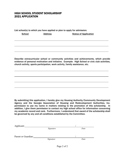#### HIGH SCHOOL STUDENT SCHOLARSHIP 2021 APPLICATION

List school(s) to which you have applied or plan to apply for admission:

School **Address** Status of Application

Describe extracurricular school or community activities and achievements, which provide evidence of personal motivation and initiative. Example: High School or civic club activities, church activity, sports participation, work activity, family assistance, etc.

By submitting this application, I hereby give my Housing Authority/Community Development Agency and the Georgia Association of Housing and Redevelopment Authorities, Inc. permission to use my name in matters relating to the promotion of this scholarship. In addition, I give them permission to contact my high school office for information concerning my academic record and rank. Furthermore, I understand that award of the scholarship shall be governed by any and all conditions established by the Committee.

| Applicant:          |           |      |  |
|---------------------|-----------|------|--|
|                     | Signature | Date |  |
|                     |           |      |  |
| Parent or Guardian: |           |      |  |
|                     | Signature | Date |  |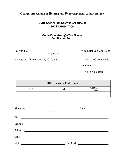#### HIGH SCHOOL STUDENT SCHOLARSHIP 2021 APPLICATION

#### Grade Point Average/Test Scores Certification Form

| I certify that                        | 's cumulative grade point   |
|---------------------------------------|-----------------------------|
| Name of Student                       |                             |
| average as of December 31, 2020, was: | $\frac{1}{100}$ point scale |
|                                       | (and/or)                    |
|                                       | $/$ on a 4.00 scale         |

| <b>Other Scores / Test Results</b> |            |                         |  |
|------------------------------------|------------|-------------------------|--|
| ACT                                | <b>SAT</b> | <b>GHSGT</b><br>Writing |  |
|                                    |            |                         |  |

| Signature: |                 | Date:     |  |  |  |
|------------|-----------------|-----------|--|--|--|
|            | School Official |           |  |  |  |
| Title:     |                 |           |  |  |  |
| School:    |                 |           |  |  |  |
| Address:   |                 |           |  |  |  |
| City:      |                 |           |  |  |  |
| State:     |                 | Zip Code: |  |  |  |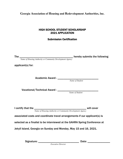#### HIGH SCHOOL STUDENT SCHOLARSHIP 2021 APPLICATION

#### Submission Certification

| The $\frac{1}{\text{Name of Housing Authority or Community Development Agency}}$ hereby submits the following |  |
|---------------------------------------------------------------------------------------------------------------|--|
| applicant(s) for:                                                                                             |  |
|                                                                                                               |  |
|                                                                                                               |  |
|                                                                                                               |  |
|                                                                                                               |  |
|                                                                                                               |  |
|                                                                                                               |  |
|                                                                                                               |  |
|                                                                                                               |  |
|                                                                                                               |  |
|                                                                                                               |  |
| I certify that the $\frac{1}{\text{Name of Housing Authority or Community Development Agency}}$ will cover    |  |
| associated costs and coordinate travel arrangements if our applicant(s) is                                    |  |
|                                                                                                               |  |
| selected as a finalist to be interviewed at the GAHRA Spring Conference at                                    |  |
|                                                                                                               |  |
| Jekyll Island, Georgia on Sunday and Monday, May 15 and 16, 2021.                                             |  |
|                                                                                                               |  |
|                                                                                                               |  |
| <b>Executive Director</b>                                                                                     |  |
|                                                                                                               |  |